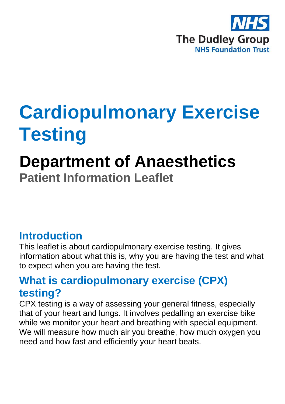

# **Cardiopulmonary Exercise Testing**

## **Department of Anaesthetics Patient Information Leaflet**

#### **Introduction**

This leaflet is about cardiopulmonary exercise testing. It gives information about what this is, why you are having the test and what to expect when you are having the test.

#### **What is cardiopulmonary exercise (CPX) testing?**

CPX testing is a way of assessing your general fitness, especially that of your heart and lungs. It involves pedalling an exercise bike while we monitor your heart and breathing with special equipment. We will measure how much air you breathe, how much oxygen you need and how fast and efficiently your heart beats.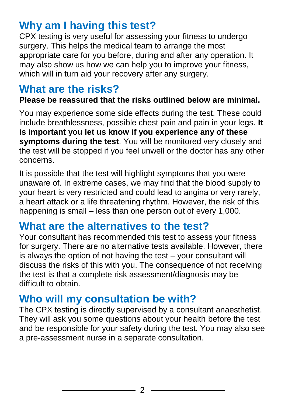## **Why am I having this test?**

CPX testing is very useful for assessing your fitness to undergo surgery. This helps the medical team to arrange the most appropriate care for you before, during and after any operation. It may also show us how we can help you to improve your fitness, which will in turn aid your recovery after any surgery.

#### **What are the risks?**

#### **Please be reassured that the risks outlined below are minimal.**

You may experience some side effects during the test. These could include breathlessness, possible chest pain and pain in your legs. **It is important you let us know if you experience any of these symptoms during the test**. You will be monitored very closely and the test will be stopped if you feel unwell or the doctor has any other concerns.

It is possible that the test will highlight symptoms that you were unaware of. In extreme cases, we may find that the blood supply to your heart is very restricted and could lead to angina or very rarely, a heart attack or a life threatening rhythm. However, the risk of this happening is small – less than one person out of every 1,000.

#### **What are the alternatives to the test?**

Your consultant has recommended this test to assess your fitness for surgery. There are no alternative tests available. However, there is always the option of not having the test – your consultant will discuss the risks of this with you. The consequence of not receiving the test is that a complete risk assessment/diagnosis may be difficult to obtain.

#### **Who will my consultation be with?**

The CPX testing is directly supervised by a consultant anaesthetist. They will ask you some questions about your health before the test and be responsible for your safety during the test. You may also see a pre-assessment nurse in a separate consultation.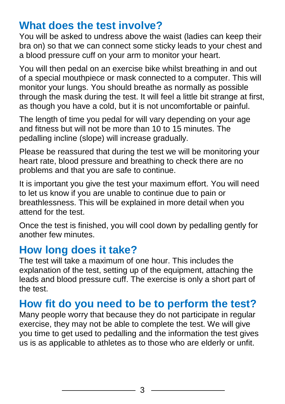#### **What does the test involve?**

You will be asked to undress above the waist (ladies can keep their bra on) so that we can connect some sticky leads to your chest and a blood pressure cuff on your arm to monitor your heart.

You will then pedal on an exercise bike whilst breathing in and out of a special mouthpiece or mask connected to a computer. This will monitor your lungs. You should breathe as normally as possible through the mask during the test. It will feel a little bit strange at first, as though you have a cold, but it is not uncomfortable or painful.

The length of time you pedal for will vary depending on your age and fitness but will not be more than 10 to 15 minutes. The pedalling incline (slope) will increase gradually.

Please be reassured that during the test we will be monitoring your heart rate, blood pressure and breathing to check there are no problems and that you are safe to continue.

It is important you give the test your maximum effort. You will need to let us know if you are unable to continue due to pain or breathlessness. This will be explained in more detail when you attend for the test.

Once the test is finished, you will cool down by pedalling gently for another few minutes.

#### **How long does it take?**

The test will take a maximum of one hour. This includes the explanation of the test, setting up of the equipment, attaching the leads and blood pressure cuff. The exercise is only a short part of the test.

#### **How fit do you need to be to perform the test?**

Many people worry that because they do not participate in regular exercise, they may not be able to complete the test. We will give you time to get used to pedalling and the information the test gives us is as applicable to athletes as to those who are elderly or unfit.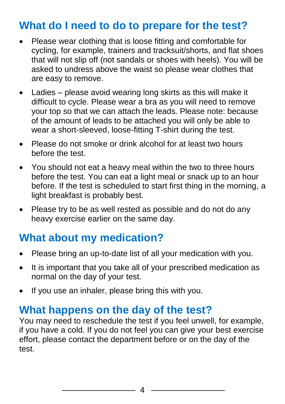#### **What do I need to do to prepare for the test?**

- Please wear clothing that is loose fitting and comfortable for cycling, for example, trainers and tracksuit/shorts, and flat shoes that will not slip off (not sandals or shoes with heels). You will be asked to undress above the waist so please wear clothes that are easy to remove.
- Ladies please avoid wearing long skirts as this will make it difficult to cycle. Please wear a bra as you will need to remove your top so that we can attach the leads. Please note: because of the amount of leads to be attached you will only be able to wear a short-sleeved, loose-fitting T-shirt during the test.
- Please do not smoke or drink alcohol for at least two hours before the test.
- You should not eat a heavy meal within the two to three hours before the test. You can eat a light meal or snack up to an hour before. If the test is scheduled to start first thing in the morning, a light breakfast is probably best.
- Please try to be as well rested as possible and do not do any heavy exercise earlier on the same day.

#### **What about my medication?**

- Please bring an up-to-date list of all your medication with you.
- It is important that you take all of your prescribed medication as normal on the day of your test.
- If you use an inhaler, please bring this with you.

#### **What happens on the day of the test?**

You may need to reschedule the test if you feel unwell, for example, if you have a cold. If you do not feel you can give your best exercise effort, please contact the department before or on the day of the test.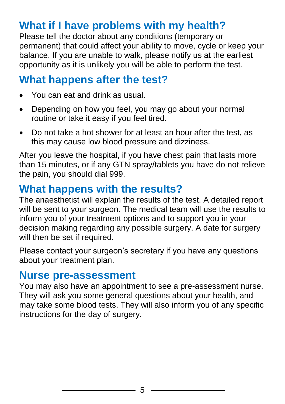## **What if I have problems with my health?**

Please tell the doctor about any conditions (temporary or permanent) that could affect your ability to move, cycle or keep your balance. If you are unable to walk, please notify us at the earliest opportunity as it is unlikely you will be able to perform the test.

#### **What happens after the test?**

- You can eat and drink as usual.
- Depending on how you feel, you may go about your normal routine or take it easy if you feel tired.
- Do not take a hot shower for at least an hour after the test, as this may cause low blood pressure and dizziness.

After you leave the hospital, if you have chest pain that lasts more than 15 minutes, or if any GTN spray/tablets you have do not relieve the pain, you should dial 999.

## **What happens with the results?**

The anaesthetist will explain the results of the test. A detailed report will be sent to your surgeon. The medical team will use the results to inform you of your treatment options and to support you in your decision making regarding any possible surgery. A date for surgery will then be set if required.

Please contact your surgeon's secretary if you have any questions about your treatment plan.

#### **Nurse pre-assessment**

You may also have an appointment to see a pre-assessment nurse. They will ask you some general questions about your health, and may take some blood tests. They will also inform you of any specific instructions for the day of surgery.